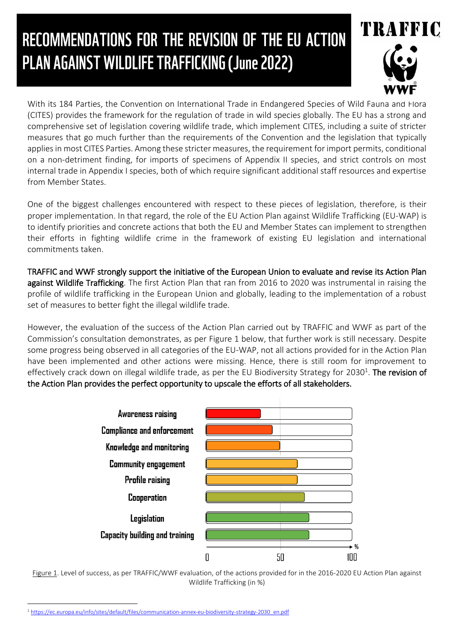# RECOMMENDATIONS FOR THE REVISION OF THE EU ACTION PLAN AGAINST WILDLIFE TRAFFICKING (June 2022)



With its 184 Parties, the Convention on International Trade in Endangered Species of Wild Fauna and Flora (CITES) provides the framework for the regulation of trade in wild species globally. The EU has a strong and comprehensive set of legislation covering wildlife trade, which implement CITES, including a suite of stricter measures that go much further than the requirements of the Convention and the legislation that typically applies in most CITES Parties. Among these stricter measures, the requirement for import permits, conditional on a non-detriment finding, for imports of specimens of Appendix II species, and strict controls on most internal trade in Appendix I species, both of which require significant additional staff resources and expertise from Member States.

One of the biggest challenges encountered with respect to these pieces of legislation, therefore, is their proper implementation. In that regard, the role of the EU Action Plan against Wildlife Trafficking (EU-WAP) is to identify priorities and concrete actions that both the EU and Member States can implement to strengthen their efforts in fighting wildlife crime in the framework of existing EU legislation and international commitments taken.

TRAFFIC and WWF strongly support the initiative of the European Union to evaluate and revise its Action Plan against Wildlife Trafficking. The first Action Plan that ran from 2016 to 2020 was instrumental in raising the profile of wildlife trafficking in the European Union and globally, leading to the implementation of a robust set of measures to better fight the illegal wildlife trade.

However, the evaluation of the success of the Action Plan carried out by TRAFFIC and WWF as part of the Commission's consultation demonstrates, as per Figure 1 below, that further work is still necessary. Despite some progress being observed in all categories of the EU-WAP, not all actions provided for in the Action Plan have been implemented and other actions were missing. Hence, there is still room for improvement to effectively crack down on illegal wildlife trade, as per the EU Biodiversity Strategy for 2030<sup>1</sup>. **The revision of** the Action Plan provides the perfect opportunity to upscale the efforts of all stakeholders.



Figure 1. Level of success, as per TRAFFIC/WWF evaluation, of the actions provided for in the 2016-2020 EU Action Plan against Wildlife Trafficking (in %)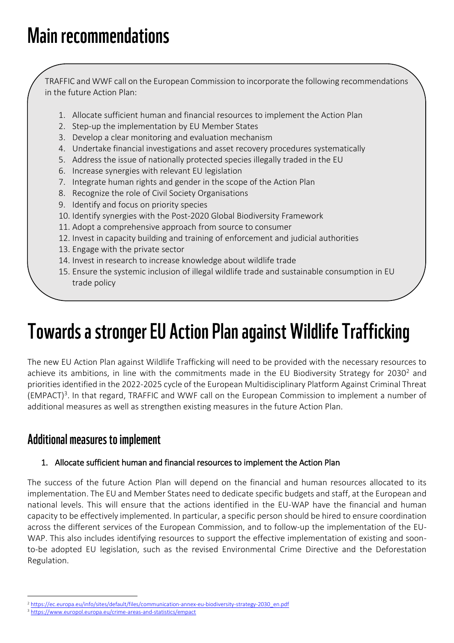## **Main recommendations**

TRAFFIC and WWF call on the European Commission to incorporate the following recommendations in the future Action Plan:

- 1. Allocate sufficient human and financial resources to implement the Action Plan
- 2. Step-up the implementation by EU Member States
- 3. Develop a clear monitoring and evaluation mechanism
- 4. Undertake financial investigations and asset recovery procedures systematically
- 5. Address the issue of nationally protected species illegally traded in the EU
- 6. Increase synergies with relevant EU legislation
- 7. Integrate human rights and gender in the scope of the Action Plan
- 8. Recognize the role of Civil Society Organisations
- 9. Identify and focus on priority species
- 10. Identify synergies with the Post-2020 Global Biodiversity Framework
- 11. Adopt a comprehensive approach from source to consumer
- 12. Invest in capacity building and training of enforcement and judicial authorities
- 13. Engage with the private sector
- 14. Invest in research to increase knowledge about wildlife trade
- 15. Ensure the systemic inclusion of illegal wildlife trade and sustainable consumption in EU trade policy

## **Towards a stronger EU Action Plan against Wildlife Trafficking**

The new EU Action Plan against Wildlife Trafficking will need to be provided with the necessary resources to achieve its ambitions, in line with the commitments made in the EU Biodiversity Strategy for 2030<sup>2</sup> and priorities identified in the 2022-2025 cycle of the European Multidisciplinary Platform Against Criminal Threat (EMPACT)<sup>3</sup>. In that regard, TRAFFIC and WWF call on the European Commission to implement a number of additional measures as well as strengthen existing measures in the future Action Plan.

### **Additional measures to implement**

#### 1. Allocate sufficient human and financial resources to implement the Action Plan

The success of the future Action Plan will depend on the financial and human resources allocated to its implementation. The EU and Member States need to dedicate specific budgets and staff, at the European and national levels. This will ensure that the actions identified in the EU-WAP have the financial and human capacity to be effectively implemented. In particular, a specific person should be hired to ensure coordination across the different services of the European Commission, and to follow-up the implementation of the EU-WAP. This also includes identifying resources to support the effective implementation of existing and soonto-be adopted EU legislation, such as the revised Environmental Crime Directive and the Deforestation Regulation.

 $\overline{a}$ <sup>2</sup> [https://ec.europa.eu/info/sites/default/files/communication-annex-eu-biodiversity-strategy-2030\\_en.pdf](https://ec.europa.eu/info/sites/default/files/communication-annex-eu-biodiversity-strategy-2030_en.pdf)

<sup>3</sup> <https://www.europol.europa.eu/crime-areas-and-statistics/empact>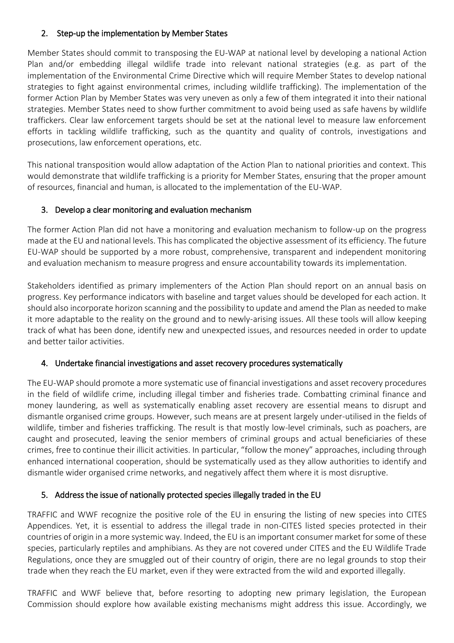#### 2. Step-up the implementation by Member States

Member States should commit to transposing the EU-WAP at national level by developing a national Action Plan and/or embedding illegal wildlife trade into relevant national strategies (e.g. as part of the implementation of the Environmental Crime Directive which will require Member States to develop national strategies to fight against environmental crimes, including wildlife trafficking). The implementation of the former Action Plan by Member States was very uneven as only a few of them integrated it into their national strategies. Member States need to show further commitment to avoid being used as safe havens by wildlife traffickers. Clear law enforcement targets should be set at the national level to measure law enforcement efforts in tackling wildlife trafficking, such as the quantity and quality of controls, investigations and prosecutions, law enforcement operations, etc.

This national transposition would allow adaptation of the Action Plan to national priorities and context. This would demonstrate that wildlife trafficking is a priority for Member States, ensuring that the proper amount of resources, financial and human, is allocated to the implementation of the EU-WAP.

#### 3. Develop a clear monitoring and evaluation mechanism

The former Action Plan did not have a monitoring and evaluation mechanism to follow-up on the progress made at the EU and national levels. This has complicated the objective assessment of its efficiency. The future EU-WAP should be supported by a more robust, comprehensive, transparent and independent monitoring and evaluation mechanism to measure progress and ensure accountability towards its implementation.

Stakeholders identified as primary implementers of the Action Plan should report on an annual basis on progress. Key performance indicators with baseline and target values should be developed for each action. It should also incorporate horizon scanning and the possibility to update and amend the Plan as needed to make it more adaptable to the reality on the ground and to newly-arising issues. All these tools will allow keeping track of what has been done, identify new and unexpected issues, and resources needed in order to update and better tailor activities.

#### 4. Undertake financial investigations and asset recovery procedures systematically

The EU-WAP should promote a more systematic use of financial investigations and asset recovery procedures in the field of wildlife crime, including illegal timber and fisheries trade. Combatting criminal finance and money laundering, as well as systematically enabling asset recovery are essential means to disrupt and dismantle organised crime groups. However, such means are at present largely under-utilised in the fields of wildlife, timber and fisheries trafficking. The result is that mostly low-level criminals, such as poachers, are caught and prosecuted, leaving the senior members of criminal groups and actual beneficiaries of these crimes, free to continue their illicit activities. In particular, "follow the money" approaches, including through enhanced international cooperation, should be systematically used as they allow authorities to identify and dismantle wider organised crime networks, and negatively affect them where it is most disruptive.

#### 5. Address the issue of nationally protected species illegally traded in the EU

TRAFFIC and WWF recognize the positive role of the EU in ensuring the listing of new species into CITES Appendices. Yet, it is essential to address the illegal trade in non-CITES listed species protected in their countries of origin in a more systemic way. Indeed, the EU is an important consumer market for some of these species, particularly reptiles and amphibians. As they are not covered under CITES and the EU Wildlife Trade Regulations, once they are smuggled out of their country of origin, there are no legal grounds to stop their trade when they reach the EU market, even if they were extracted from the wild and exported illegally.

TRAFFIC and WWF believe that, before resorting to adopting new primary legislation, the European Commission should explore how available existing mechanisms might address this issue. Accordingly, we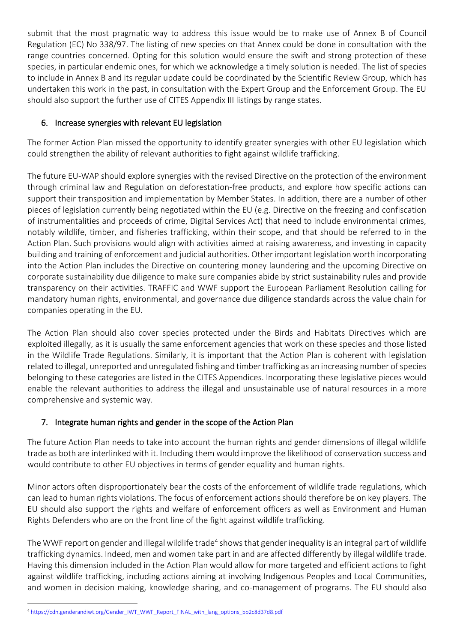submit that the most pragmatic way to address this issue would be to make use of Annex B of Council Regulation (EC) No 338/97. The listing of new species on that Annex could be done in consultation with the range countries concerned. Opting for this solution would ensure the swift and strong protection of these species, in particular endemic ones, for which we acknowledge a timely solution is needed. The list of species to include in Annex B and its regular update could be coordinated by the Scientific Review Group, which has undertaken this work in the past, in consultation with the Expert Group and the Enforcement Group. The EU should also support the further use of CITES Appendix III listings by range states.

#### 6. Increase synergies with relevant EU legislation

The former Action Plan missed the opportunity to identify greater synergies with other EU legislation which could strengthen the ability of relevant authorities to fight against wildlife trafficking.

The future EU-WAP should explore synergies with the revised Directive on the protection of the environment through criminal law and Regulation on deforestation-free products, and explore how specific actions can support their transposition and implementation by Member States. In addition, there are a number of other pieces of legislation currently being negotiated within the EU (e.g. Directive on the freezing and confiscation of instrumentalities and proceeds of crime, Digital Services Act) that need to include environmental crimes, notably wildlife, timber, and fisheries trafficking, within their scope, and that should be referred to in the Action Plan. Such provisions would align with activities aimed at raising awareness, and investing in capacity building and training of enforcement and judicial authorities. Other important legislation worth incorporating into the Action Plan includes the Directive on countering money laundering and the upcoming Directive on corporate sustainability due diligence to make sure companies abide by strict sustainability rules and provide transparency on their activities. TRAFFIC and WWF support the European Parliament Resolution calling for mandatory human rights, environmental, and governance due diligence standards across the value chain for companies operating in the EU.

The Action Plan should also cover species protected under the Birds and Habitats Directives which are exploited illegally, as it is usually the same enforcement agencies that work on these species and those listed in the Wildlife Trade Regulations. Similarly, it is important that the Action Plan is coherent with legislation related to illegal, unreported and unregulated fishing and timber trafficking as an increasing number of species belonging to these categories are listed in the CITES Appendices. Incorporating these legislative pieces would enable the relevant authorities to address the illegal and unsustainable use of natural resources in a more comprehensive and systemic way.

#### 7. Integrate human rights and gender in the scope of the Action Plan

The future Action Plan needs to take into account the human rights and gender dimensions of illegal wildlife trade as both are interlinked with it. Including them would improve the likelihood of conservation success and would contribute to other EU objectives in terms of gender equality and human rights.

Minor actors often disproportionately bear the costs of the enforcement of wildlife trade regulations, which can lead to human rights violations. The focus of enforcement actions should therefore be on key players. The EU should also support the rights and welfare of enforcement officers as well as Environment and Human Rights Defenders who are on the front line of the fight against wildlife trafficking.

The WWF report on gender and illegal wildlife trade<sup>4</sup> shows that gender inequality is an integral part of wildlife trafficking dynamics. Indeed, men and women take part in and are affected differently by illegal wildlife trade. Having this dimension included in the Action Plan would allow for more targeted and efficient actions to fight against wildlife trafficking, including actions aiming at involving Indigenous Peoples and Local Communities, and women in decision making, knowledge sharing, and co-management of programs. The EU should also

 $\overline{a}$ <sup>4</sup> [https://cdn.genderandiwt.org/Gender\\_IWT\\_WWF\\_Report\\_FINAL\\_with\\_lang\\_options\\_bb2c8d37d8.pdf](https://cdn.genderandiwt.org/Gender_IWT_WWF_Report_FINAL_with_lang_options_bb2c8d37d8.pdf)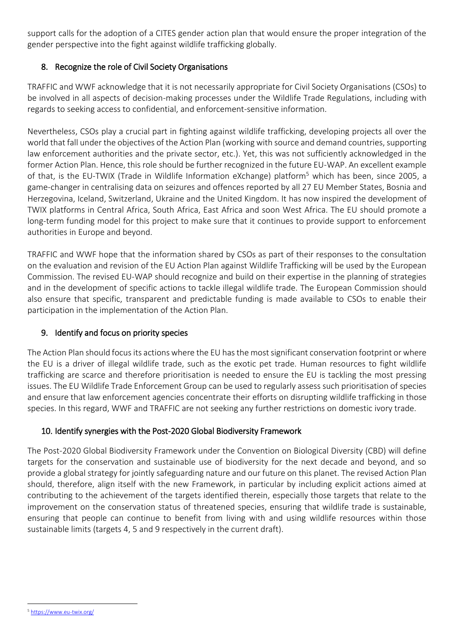support calls for the adoption of a CITES gender action plan that would ensure the proper integration of the gender perspective into the fight against wildlife trafficking globally.

#### 8. Recognize the role of Civil Society Organisations

TRAFFIC and WWF acknowledge that it is not necessarily appropriate for Civil Society Organisations (CSOs) to be involved in all aspects of decision-making processes under the Wildlife Trade Regulations, including with regards to seeking access to confidential, and enforcement-sensitive information.

Nevertheless, CSOs play a crucial part in fighting against wildlife trafficking, developing projects all over the world that fall under the objectives of the Action Plan (working with source and demand countries, supporting law enforcement authorities and the private sector, etc.). Yet, this was not sufficiently acknowledged in the former Action Plan. Hence, this role should be further recognized in the future EU-WAP. An excellent example of that, is the EU-TWIX (Trade in Wildlife Information eXchange) platform<sup>5</sup> which has been, since 2005, a game-changer in centralising data on seizures and offences reported by all 27 EU Member States, Bosnia and Herzegovina, Iceland, Switzerland, Ukraine and the United Kingdom. It has now inspired the development of TWIX platforms in Central Africa, South Africa, East Africa and soon West Africa. The EU should promote a long-term funding model for this project to make sure that it continues to provide support to enforcement authorities in Europe and beyond.

TRAFFIC and WWF hope that the information shared by CSOs as part of their responses to the consultation on the evaluation and revision of the EU Action Plan against Wildlife Trafficking will be used by the European Commission. The revised EU-WAP should recognize and build on their expertise in the planning of strategies and in the development of specific actions to tackle illegal wildlife trade. The European Commission should also ensure that specific, transparent and predictable funding is made available to CSOs to enable their participation in the implementation of the Action Plan.

#### 9. Identify and focus on priority species

The Action Plan should focus its actions where the EU has the most significant conservation footprint or where the EU is a driver of illegal wildlife trade, such as the exotic pet trade. Human resources to fight wildlife trafficking are scarce and therefore prioritisation is needed to ensure the EU is tackling the most pressing issues. The EU Wildlife Trade Enforcement Group can be used to regularly assess such prioritisation of species and ensure that law enforcement agencies concentrate their efforts on disrupting wildlife trafficking in those species. In this regard, WWF and TRAFFIC are not seeking any further restrictions on domestic ivory trade.

#### 10. Identify synergies with the Post-2020 Global Biodiversity Framework

The Post-2020 Global Biodiversity Framework under the Convention on Biological Diversity (CBD) will define targets for the conservation and sustainable use of biodiversity for the next decade and beyond, and so provide a global strategy for jointly safeguarding nature and our future on this planet. The revised Action Plan should, therefore, align itself with the new Framework, in particular by including explicit actions aimed at contributing to the achievement of the targets identified therein, especially those targets that relate to the improvement on the conservation status of threatened species, ensuring that wildlife trade is sustainable, ensuring that people can continue to benefit from living with and using wildlife resources within those sustainable limits (targets 4, 5 and 9 respectively in the current draft).

 $\overline{a}$ <sup>5</sup> <https://www.eu-twix.org/>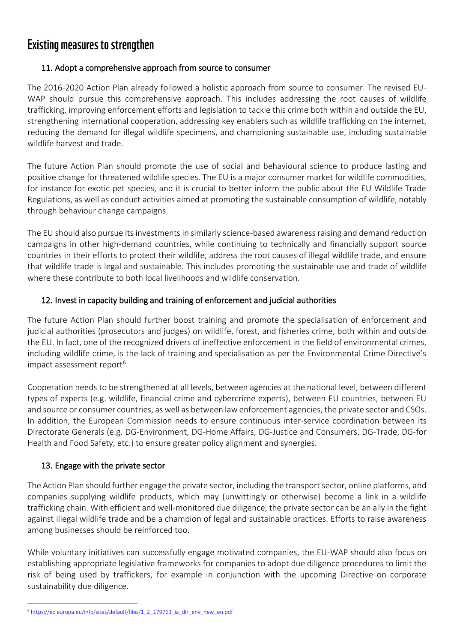### **Existing measures to strengthen**

#### 11. Adopt a comprehensive approach from source to consumer

The 2016-2020 Action Plan already followed a holistic approach from source to consumer. The revised EU-WAP should pursue this comprehensive approach. This includes addressing the root causes of wildlife trafficking, improving enforcement efforts and legislation to tackle this crime both within and outside the EU, strengthening international cooperation, addressing key enablers such as wildlife trafficking on the internet, reducing the demand for illegal wildlife specimens, and championing sustainable use, including sustainable wildlife harvest and trade.

The future Action Plan should promote the use of social and behavioural science to produce lasting and positive change for threatened wildlife species. The EU is a major consumer market for wildlife commodities, for instance for exotic pet species, and it is crucial to better inform the public about the EU Wildlife Trade Regulations, as well as conduct activities aimed at promoting the sustainable consumption of wildlife, notably through behaviour change campaigns.

The EU should also pursue its investments in similarly science-based awareness raising and demand reduction campaigns in other high-demand countries, while continuing to technically and financially support source countries in their efforts to protect their wildlife, address the root causes of illegal wildlife trade, and ensure that wildlife trade is legal and sustainable. This includes promoting the sustainable use and trade of wildlife where these contribute to both local livelihoods and wildlife conservation.

#### 12. Invest in capacity building and training of enforcement and judicial authorities

The future Action Plan should further boost training and promote the specialisation of enforcement and judicial authorities (prosecutors and judges) on wildlife, forest, and fisheries crime, both within and outside the EU. In fact, one of the recognized drivers of ineffective enforcement in the field of environmental crimes, including wildlife crime, is the lack of training and specialisation as per the Environmental Crime Directive's impact assessment report<sup>6</sup>.

Cooperation needs to be strengthened at all levels, between agencies at the national level, between different types of experts (e.g. wildlife, financial crime and cybercrime experts), between EU countries, between EU and source or consumer countries, as well as between law enforcement agencies, the private sector and CSOs. In addition, the European Commission needs to ensure continuous inter-service coordination between its Directorate Generals (e.g. DG-Environment, DG-Home Affairs, DG-Justice and Consumers, DG-Trade, DG-for Health and Food Safety, etc.) to ensure greater policy alignment and synergies.

#### 13. Engage with the private sector

 $\overline{a}$ 

The Action Plan should further engage the private sector, including the transport sector, online platforms, and companies supplying wildlife products, which may (unwittingly or otherwise) become a link in a wildlife trafficking chain. With efficient and well-monitored due diligence, the private sector can be an ally in the fight against illegal wildlife trade and be a champion of legal and sustainable practices. Efforts to raise awareness among businesses should be reinforced too.

While voluntary initiatives can successfully engage motivated companies, the EU-WAP should also focus on establishing appropriate legislative frameworks for companies to adopt due diligence procedures to limit the risk of being used by traffickers, for example in conjunction with the upcoming Directive on corporate sustainability due diligence.

<sup>&</sup>lt;sup>6</sup> [https://ec.europa.eu/info/sites/default/files/1\\_2\\_179763\\_ia\\_dir\\_env\\_new\\_en.pdf](https://ec.europa.eu/info/sites/default/files/1_2_179763_ia_dir_env_new_en.pdf)